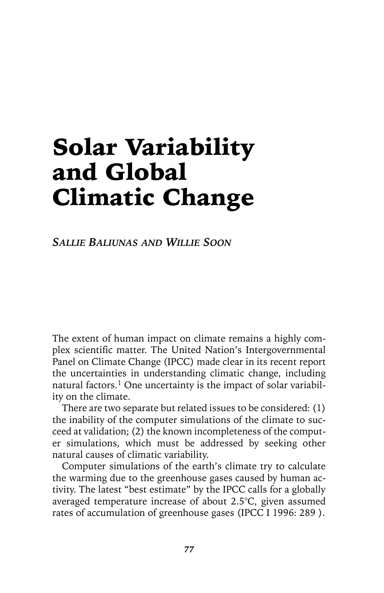# Solar Variability and Global Climatic Change

*SALLIE BALIUNAS AND WILLIE SOON*

The extent of human impact on climate remains a highly complex scientific matter. The United Nation's Intergovernmental Panel on Climate Change (IPCC) made clear in its recent report the uncertainties in understanding climatic change, including natural factors.<sup>1</sup> One uncertainty is the impact of solar variability on the climate.

There are two separate but related issues to be considered: (1) the inability of the computer simulations of the climate to succeed at validation; (2) the known incompleteness of the computer simulations, which must be addressed by seeking other natural causes of climatic variability.

Computer simulations of the earth's climate try to calculate the warming due to the greenhouse gases caused by human activity. The latest "best estimate" by the IPCC calls for a globally averaged temperature increase of about 2.5°C, given assumed rates of accumulation of greenhouse gases (IPCC I 1996: 289 ).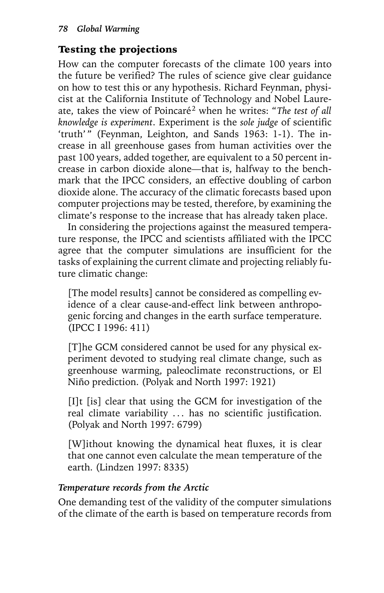## Testing the projections

How can the computer forecasts of the climate 100 years into the future be verified? The rules of science give clear guidance on how to test this or any hypothesis. Richard Feynman, physicist at the California Institute of Technology and Nobel Laureate, takes the view of Poincaré2 when he writes: "*The test of all knowledge is experiment*. Experiment is the *sole judge* of scientific 'truth'" (Feynman, Leighton, and Sands 1963: 1-1). The increase in all greenhouse gases from human activities over the past 100 years, added together, are equivalent to a 50 percent increase in carbon dioxide alone—that is, halfway to the benchmark that the IPCC considers, an effective doubling of carbon dioxide alone. The accuracy of the climatic forecasts based upon computer projections may be tested, therefore, by examining the climate's response to the increase that has already taken place.

In considering the projections against the measured temperature response, the IPCC and scientists affiliated with the IPCC agree that the computer simulations are insufficient for the tasks of explaining the current climate and projecting reliably future climatic change:

[The model results] cannot be considered as compelling evidence of a clear cause-and-effect link between anthropogenic forcing and changes in the earth surface temperature. (IPCC I 1996: 411)

[T]he GCM considered cannot be used for any physical experiment devoted to studying real climate change, such as greenhouse warming, paleoclimate reconstructions, or El Niño prediction. (Polyak and North 1997: 1921)

[I]t [is] clear that using the GCM for investigation of the real climate variability ... has no scientific justification. (Polyak and North 1997: 6799)

[W]ithout knowing the dynamical heat fluxes, it is clear that one cannot even calculate the mean temperature of the earth. (Lindzen 1997: 8335)

#### *Temperature records from the Arctic*

One demanding test of the validity of the computer simulations of the climate of the earth is based on temperature records from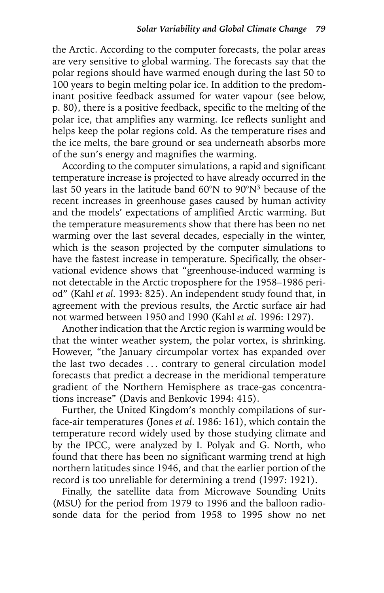the Arctic. According to the computer forecasts, the polar areas are very sensitive to global warming. The forecasts say that the polar regions should have warmed enough during the last 50 to 100 years to begin melting polar ice. In addition to the predominant positive feedback assumed for water vapour (see below, p. 80), there is a positive feedback, specific to the melting of the polar ice, that amplifies any warming. Ice reflects sunlight and helps keep the polar regions cold. As the temperature rises and the ice melts, the bare ground or sea underneath absorbs more of the sun's energy and magnifies the warming.

According to the computer simulations, a rapid and significant temperature increase is projected to have already occurred in the last 50 years in the latitude band  $60^{\circ}$ N to  $90^{\circ}$ N<sup>3</sup> because of the recent increases in greenhouse gases caused by human activity and the models' expectations of amplified Arctic warming. But the temperature measurements show that there has been no net warming over the last several decades, especially in the winter, which is the season projected by the computer simulations to have the fastest increase in temperature. Specifically, the observational evidence shows that "greenhouse-induced warming is not detectable in the Arctic troposphere for the 1958–1986 period" (Kahl *et al*. 1993: 825). An independent study found that, in agreement with the previous results, the Arctic surface air had not warmed between 1950 and 1990 (Kahl *et al*. 1996: 1297).

Another indication that the Arctic region is warming would be that the winter weather system, the polar vortex, is shrinking. However, "the January circumpolar vortex has expanded over the last two decades ... contrary to general circulation model forecasts that predict a decrease in the meridional temperature gradient of the Northern Hemisphere as trace-gas concentrations increase" (Davis and Benkovic 1994: 415).

Further, the United Kingdom's monthly compilations of surface-air temperatures (Jones *et al*. 1986: 161), which contain the temperature record widely used by those studying climate and by the IPCC, were analyzed by I. Polyak and G. North, who found that there has been no significant warming trend at high northern latitudes since 1946, and that the earlier portion of the record is too unreliable for determining a trend (1997: 1921).

Finally, the satellite data from Microwave Sounding Units (MSU) for the period from 1979 to 1996 and the balloon radiosonde data for the period from 1958 to 1995 show no net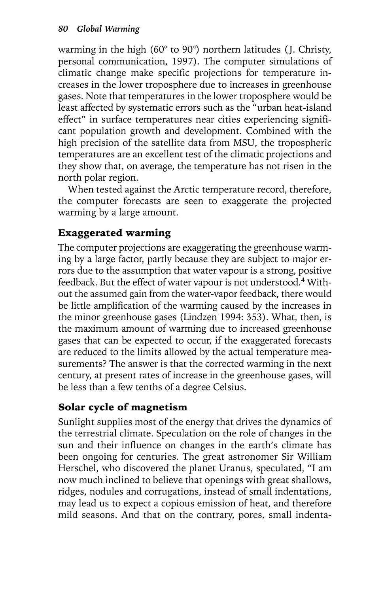warming in the high (60° to 90°) northern latitudes (J. Christy, personal communication, 1997). The computer simulations of climatic change make specific projections for temperature increases in the lower troposphere due to increases in greenhouse gases. Note that temperatures in the lower troposphere would be least affected by systematic errors such as the "urban heat-island effect" in surface temperatures near cities experiencing significant population growth and development. Combined with the high precision of the satellite data from MSU, the tropospheric temperatures are an excellent test of the climatic projections and they show that, on average, the temperature has not risen in the north polar region.

When tested against the Arctic temperature record, therefore, the computer forecasts are seen to exaggerate the projected warming by a large amount.

## Exaggerated warming

The computer projections are exaggerating the greenhouse warming by a large factor, partly because they are subject to major errors due to the assumption that water vapour is a strong, positive feedback. But the effect of water vapour is not understood.<sup>4</sup> Without the assumed gain from the water-vapor feedback, there would be little amplification of the warming caused by the increases in the minor greenhouse gases (Lindzen 1994: 353). What, then, is the maximum amount of warming due to increased greenhouse gases that can be expected to occur, if the exaggerated forecasts are reduced to the limits allowed by the actual temperature measurements? The answer is that the corrected warming in the next century, at present rates of increase in the greenhouse gases, will be less than a few tenths of a degree Celsius.

## Solar cycle of magnetism

Sunlight supplies most of the energy that drives the dynamics of the terrestrial climate. Speculation on the role of changes in the sun and their influence on changes in the earth's climate has been ongoing for centuries. The great astronomer Sir William Herschel, who discovered the planet Uranus, speculated, "I am now much inclined to believe that openings with great shallows, ridges, nodules and corrugations, instead of small indentations, may lead us to expect a copious emission of heat, and therefore mild seasons. And that on the contrary, pores, small indenta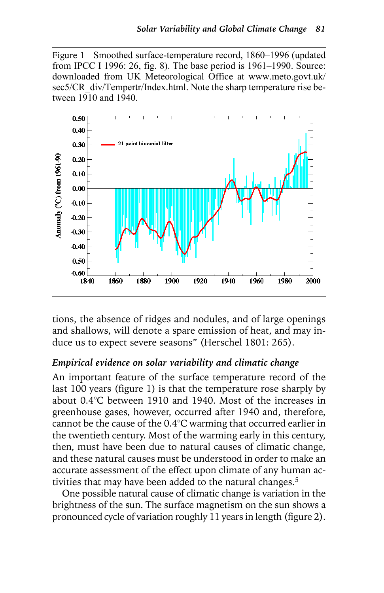Figure 1 Smoothed surface-temperature record, 1860–1996 (updated from IPCC I 1996: 26, fig. 8). The base period is 1961–1990. Source: downloaded from UK Meteorological Office at www.meto.govt.uk/ sec5/CR\_div/Tempertr/Index.html. Note the sharp temperature rise between 1910 and 1940.



tions, the absence of ridges and nodules, and of large openings and shallows, will denote a spare emission of heat, and may induce us to expect severe seasons" (Herschel 1801: 265).

#### *Empirical evidence on solar variability and climatic change*

An important feature of the surface temperature record of the last 100 years (figure 1) is that the temperature rose sharply by about 0.4°C between 1910 and 1940. Most of the increases in greenhouse gases, however, occurred after 1940 and, therefore, cannot be the cause of the 0.4°C warming that occurred earlier in the twentieth century. Most of the warming early in this century, then, must have been due to natural causes of climatic change, and these natural causes must be understood in order to make an accurate assessment of the effect upon climate of any human activities that may have been added to the natural changes.<sup>5</sup>

One possible natural cause of climatic change is variation in the brightness of the sun. The surface magnetism on the sun shows a pronounced cycle of variation roughly 11 years in length (figure 2).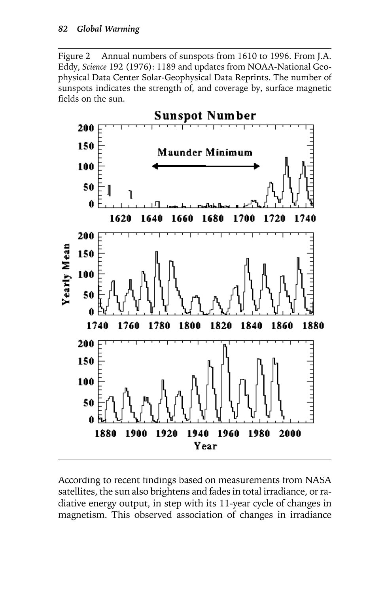Figure 2 Annual numbers of sunspots from 1610 to 1996. From J.A. Eddy, *Science* 192 (1976): 1189 and updates from NOAA-National Geophysical Data Center Solar-Geophysical Data Reprints. The number of sunspots indicates the strength of, and coverage by, surface magnetic fields on the sun.



According to recent findings based on measurements from NASA satellites, the sun also brightens and fades in total irradiance, or radiative energy output, in step with its 11-year cycle of changes in magnetism. This observed association of changes in irradiance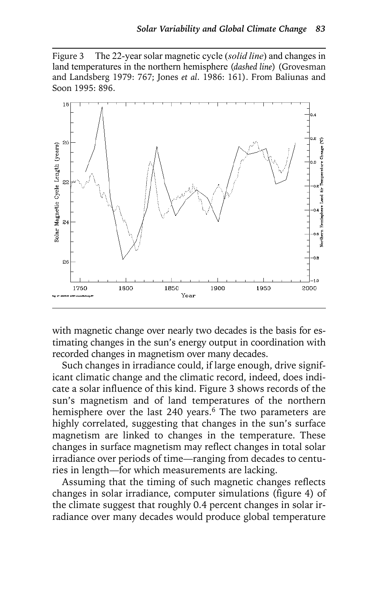Figure 3 The 22-year solar magnetic cycle (*solid line*) and changes in land temperatures in the northern hemisphere (*dashed line*) (Grovesman and Landsberg 1979: 767; Jones *et al*. 1986: 161). From Baliunas and Soon 1995: 896.



with magnetic change over nearly two decades is the basis for estimating changes in the sun's energy output in coordination with recorded changes in magnetism over many decades.

Such changes in irradiance could, if large enough, drive significant climatic change and the climatic record, indeed, does indicate a solar influence of this kind. Figure 3 shows records of the sun's magnetism and of land temperatures of the northern hemisphere over the last 240 years.<sup>6</sup> The two parameters are highly correlated, suggesting that changes in the sun's surface magnetism are linked to changes in the temperature. These changes in surface magnetism may reflect changes in total solar irradiance over periods of time—ranging from decades to centuries in length—for which measurements are lacking.

Assuming that the timing of such magnetic changes reflects changes in solar irradiance, computer simulations (figure 4) of the climate suggest that roughly 0.4 percent changes in solar irradiance over many decades would produce global temperature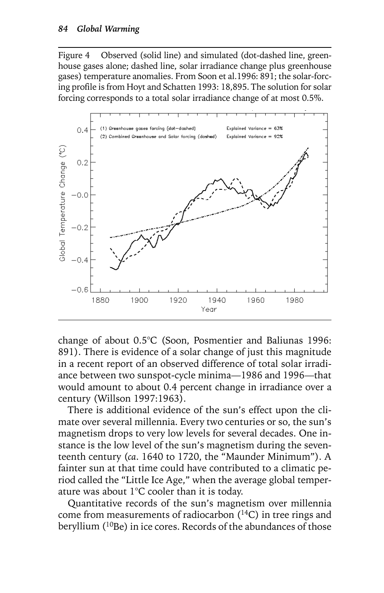Figure 4 Observed (solid line) and simulated (dot-dashed line, greenhouse gases alone; dashed line, solar irradiance change plus greenhouse gases) temperature anomalies. From Soon et al.1996: 891; the solar-forcing profile is from Hoyt and Schatten 1993: 18,895. The solution for solar forcing corresponds to a total solar irradiance change of at most 0.5%.



change of about 0.5°C (Soon, Posmentier and Baliunas 1996: 891). There is evidence of a solar change of just this magnitude in a recent report of an observed difference of total solar irradiance between two sunspot-cycle minima—1986 and 1996—that would amount to about 0.4 percent change in irradiance over a century (Willson 1997:1963).

There is additional evidence of the sun's effect upon the climate over several millennia. Every two centuries or so, the sun's magnetism drops to very low levels for several decades. One instance is the low level of the sun's magnetism during the seventeenth century (*ca*. 1640 to 1720, the "Maunder Minimum"). A fainter sun at that time could have contributed to a climatic period called the "Little Ice Age," when the average global temperature was about 1°C cooler than it is today.

Quantitative records of the sun's magnetism over millennia come from measurements of radiocarbon  $(^{14}C)$  in tree rings and beryllium (<sup>10</sup>Be) in ice cores. Records of the abundances of those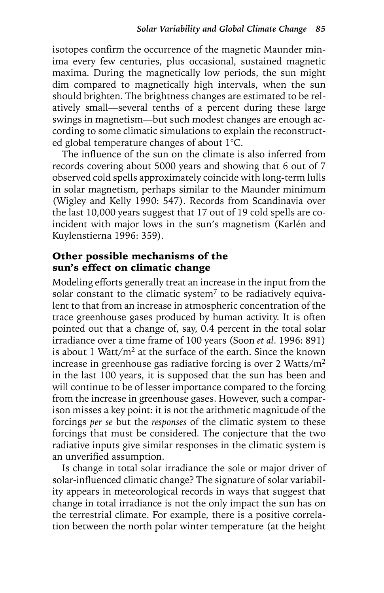isotopes confirm the occurrence of the magnetic Maunder minima every few centuries, plus occasional, sustained magnetic maxima. During the magnetically low periods, the sun might dim compared to magnetically high intervals, when the sun should brighten. The brightness changes are estimated to be relatively small—several tenths of a percent during these large swings in magnetism—but such modest changes are enough according to some climatic simulations to explain the reconstructed global temperature changes of about 1°C.

The influence of the sun on the climate is also inferred from records covering about 5000 years and showing that 6 out of 7 observed cold spells approximately coincide with long-term lulls in solar magnetism, perhaps similar to the Maunder minimum (Wigley and Kelly 1990: 547). Records from Scandinavia over the last 10,000 years suggest that 17 out of 19 cold spells are coincident with major lows in the sun's magnetism (Karlén and Kuylenstierna 1996: 359).

#### Other possible mechanisms of the sun's effect on climatic change

Modeling efforts generally treat an increase in the input from the solar constant to the climatic system<sup>7</sup> to be radiatively equivalent to that from an increase in atmospheric concentration of the trace greenhouse gases produced by human activity. It is often pointed out that a change of, say, 0.4 percent in the total solar irradiance over a time frame of 100 years (Soon *et al*. 1996: 891) is about 1 Watt/ $m^2$  at the surface of the earth. Since the known increase in greenhouse gas radiative forcing is over 2 Watts/ $m<sup>2</sup>$ in the last 100 years, it is supposed that the sun has been and will continue to be of lesser importance compared to the forcing from the increase in greenhouse gases. However, such a comparison misses a key point: it is not the arithmetic magnitude of the forcings *per se* but the *responses* of the climatic system to these forcings that must be considered. The conjecture that the two radiative inputs give similar responses in the climatic system is an unverified assumption.

Is change in total solar irradiance the sole or major driver of solar-influenced climatic change? The signature of solar variability appears in meteorological records in ways that suggest that change in total irradiance is not the only impact the sun has on the terrestrial climate. For example, there is a positive correlation between the north polar winter temperature (at the height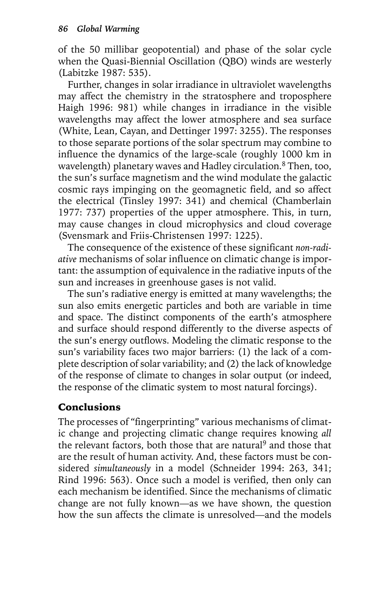of the 50 millibar geopotential) and phase of the solar cycle when the Quasi-Biennial Oscillation (QBO) winds are westerly (Labitzke 1987: 535).

Further, changes in solar irradiance in ultraviolet wavelengths may affect the chemistry in the stratosphere and troposphere Haigh 1996: 981) while changes in irradiance in the visible wavelengths may affect the lower atmosphere and sea surface (White, Lean, Cayan, and Dettinger 1997: 3255). The responses to those separate portions of the solar spectrum may combine to influence the dynamics of the large-scale (roughly 1000 km in wavelength) planetary waves and Hadley circulation.<sup>8</sup> Then, too, the sun's surface magnetism and the wind modulate the galactic cosmic rays impinging on the geomagnetic field, and so affect the electrical (Tinsley 1997: 341) and chemical (Chamberlain 1977: 737) properties of the upper atmosphere. This, in turn, may cause changes in cloud microphysics and cloud coverage (Svensmark and Friis-Christensen 1997: 1225).

The consequence of the existence of these significant *non-radiative* mechanisms of solar influence on climatic change is important: the assumption of equivalence in the radiative inputs of the sun and increases in greenhouse gases is not valid.

The sun's radiative energy is emitted at many wavelengths; the sun also emits energetic particles and both are variable in time and space. The distinct components of the earth's atmosphere and surface should respond differently to the diverse aspects of the sun's energy outflows. Modeling the climatic response to the sun's variability faces two major barriers: (1) the lack of a complete description of solar variability; and (2) the lack of knowledge of the response of climate to changes in solar output (or indeed, the response of the climatic system to most natural forcings).

## Conclusions

The processes of "fingerprinting" various mechanisms of climatic change and projecting climatic change requires knowing *all* the relevant factors, both those that are natural<sup>9</sup> and those that are the result of human activity. And, these factors must be considered *simultaneously* in a model (Schneider 1994: 263, 341; Rind 1996: 563). Once such a model is verified, then only can each mechanism be identified. Since the mechanisms of climatic change are not fully known—as we have shown, the question how the sun affects the climate is unresolved—and the models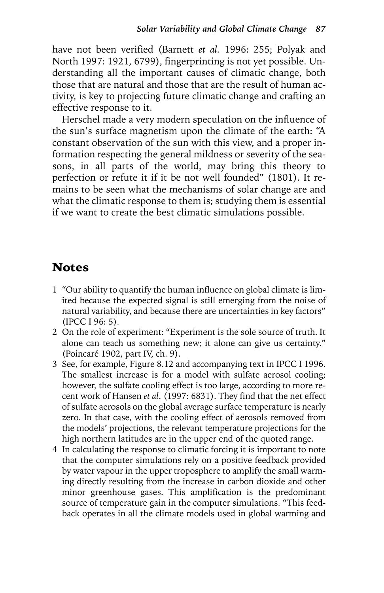have not been verified (Barnett *et al.* 1996: 255; Polyak and North 1997: 1921, 6799), fingerprinting is not yet possible. Understanding all the important causes of climatic change, both those that are natural and those that are the result of human activity, is key to projecting future climatic change and crafting an effective response to it.

Herschel made a very modern speculation on the influence of the sun's surface magnetism upon the climate of the earth: "A constant observation of the sun with this view, and a proper information respecting the general mildness or severity of the seasons, in all parts of the world, may bring this theory to perfection or refute it if it be not well founded" (1801). It remains to be seen what the mechanisms of solar change are and what the climatic response to them is; studying them is essential if we want to create the best climatic simulations possible.

### **Notes**

- 1 "Our ability to quantify the human influence on global climate is limited because the expected signal is still emerging from the noise of natural variability, and because there are uncertainties in key factors" (IPCC I 96: 5).
- 2 On the role of experiment: "Experiment is the sole source of truth. It alone can teach us something new; it alone can give us certainty." (Poincaré 1902, part IV, ch. 9).
- 3 See, for example, Figure 8.12 and accompanying text in IPCC I 1996. The smallest increase is for a model with sulfate aerosol cooling; however, the sulfate cooling effect is too large, according to more recent work of Hansen *et al*. (1997: 6831). They find that the net effect of sulfate aerosols on the global average surface temperature is nearly zero. In that case, with the cooling effect of aerosols removed from the models' projections, the relevant temperature projections for the high northern latitudes are in the upper end of the quoted range.
- 4 In calculating the response to climatic forcing it is important to note that the computer simulations rely on a positive feedback provided by water vapour in the upper troposphere to amplify the small warming directly resulting from the increase in carbon dioxide and other minor greenhouse gases. This amplification is the predominant source of temperature gain in the computer simulations. "This feedback operates in all the climate models used in global warming and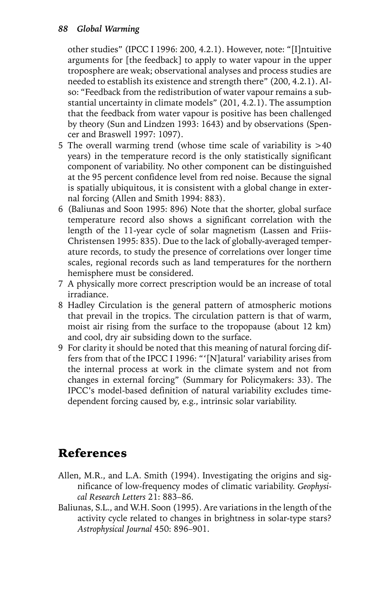#### *88 Global Warming*

other studies" (IPCC I 1996: 200, 4.2.1). However, note: "[I]ntuitive arguments for [the feedback] to apply to water vapour in the upper troposphere are weak; observational analyses and process studies are needed to establish its existence and strength there" (200, 4.2.1). Also: "Feedback from the redistribution of water vapour remains a substantial uncertainty in climate models" (201, 4.2.1). The assumption that the feedback from water vapour is positive has been challenged by theory (Sun and Lindzen 1993: 1643) and by observations (Spencer and Braswell 1997: 1097).

- 5 The overall warming trend (whose time scale of variability is >40 years) in the temperature record is the only statistically significant component of variability. No other component can be distinguished at the 95 percent confidence level from red noise. Because the signal is spatially ubiquitous, it is consistent with a global change in external forcing (Allen and Smith 1994: 883).
- 6 (Baliunas and Soon 1995: 896) Note that the shorter, global surface temperature record also shows a significant correlation with the length of the 11-year cycle of solar magnetism (Lassen and Friis-Christensen 1995: 835). Due to the lack of globally-averaged temperature records, to study the presence of correlations over longer time scales, regional records such as land temperatures for the northern hemisphere must be considered.
- 7 A physically more correct prescription would be an increase of total irradiance.
- 8 Hadley Circulation is the general pattern of atmospheric motions that prevail in the tropics. The circulation pattern is that of warm, moist air rising from the surface to the tropopause (about 12 km) and cool, dry air subsiding down to the surface.
- 9 For clarity it should be noted that this meaning of natural forcing differs from that of the IPCC I 1996: "'[N]atural' variability arises from the internal process at work in the climate system and not from changes in external forcing" (Summary for Policymakers: 33). The IPCC's model-based definition of natural variability excludes timedependent forcing caused by, e.g., intrinsic solar variability.

## References

- Allen, M.R., and L.A. Smith (1994). Investigating the origins and significance of low-frequency modes of climatic variability. *Geophysical Research Letters* 21: 883–86.
- Baliunas, S.L., and W.H. Soon (1995). Are variations in the length of the activity cycle related to changes in brightness in solar-type stars? *Astrophysical Journal* 450: 896–901.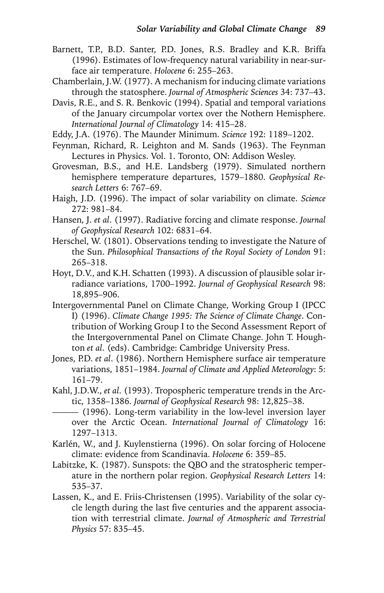- Barnett, T.P., B.D. Santer, P.D. Jones, R.S. Bradley and K.R. Briffa (1996). Estimates of low-frequency natural variability in near-surface air temperature. *Holocene* 6: 255–263.
- Chamberlain, J.W. (1977). A mechanism for inducing climate variations through the statosphere. *Journal of Atmospheric Sciences* 34: 737–43.
- Davis, R.E., and S. R. Benkovic (1994). Spatial and temporal variations of the January circumpolar vortex over the Nothern Hemisphere. *International Journal of Climatology* 14: 415–28.
- Eddy, J.A. (1976). The Maunder Minimum. *Science* 192: 1189–1202.
- Feynman, Richard, R. Leighton and M. Sands (1963). The Feynman Lectures in Physics. Vol. 1. Toronto, ON: Addison Wesley.
- Grovesman, B.S., and H.E. Landsberg (1979). Simulated northern hemisphere temperature departures, 1579–1880. *Geophysical Research Letters* 6: 767–69.
- Haigh, J.D. (1996). The impact of solar variability on climate. *Science* 272: 981–84.
- Hansen, J. *et al*. (1997). Radiative forcing and climate response. *Journal of Geophysical Research* 102: 6831–64.
- Herschel, W. (1801). Observations tending to investigate the Nature of the Sun. *Philosophical Transactions of the Royal Society of London* 91: 265–318.
- Hoyt, D.V., and K.H. Schatten (1993). A discussion of plausible solar irradiance variations, 1700–1992. *Journal of Geophysical Research* 98: 18,895–906.
- Intergovernmental Panel on Climate Change, Working Group I (IPCC I) (1996). *Climate Change 1995: The Science of Climate Change*. Contribution of Working Group I to the Second Assessment Report of the Intergovernmental Panel on Climate Change. John T. Houghton *et al*. (eds). Cambridge: Cambridge University Press.
- Jones, P.D. *et al*. (1986). Northern Hemisphere surface air temperature variations, 1851–1984. *Journal of Climate and Applied Meteorology*: 5: 161–79.
- Kahl, J.D.W., *et al*. (1993). Tropospheric temperature trends in the Arctic, 1358–1386. *Journal of Geophysical Research* 98: 12,825–38.
- ——— (1996). Long-term variability in the low-level inversion layer over the Arctic Ocean. *International Journal of Climatology* 16: 1297–1313.
- Karlén, W., and J. Kuylenstierna (1996). On solar forcing of Holocene climate: evidence from Scandinavia. *Holocene* 6: 359–85.
- Labitzke, K. (1987). Sunspots: the QBO and the stratospheric temperature in the northern polar region. *Geophysical Research Letters* 14: 535–37.
- Lassen, K., and E. Friis-Christensen (1995). Variability of the solar cycle length during the last five centuries and the apparent association with terrestrial climate. *Journal of Atmospheric and Terrestrial Physics* 57: 835–45.